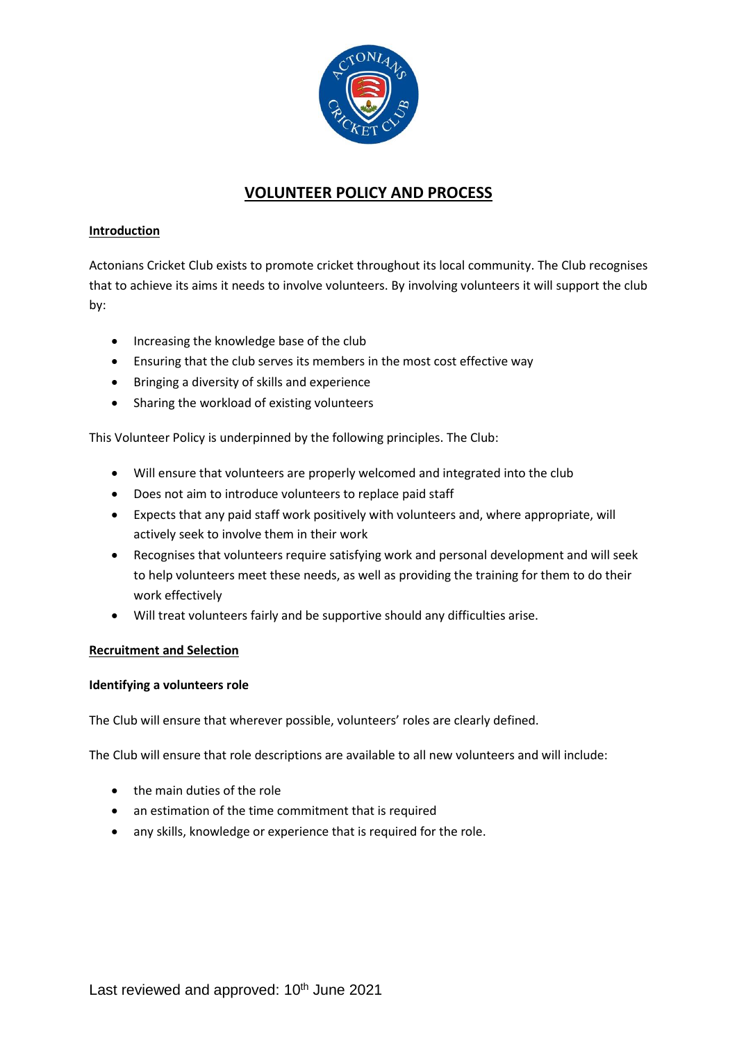

# **VOLUNTEER POLICY AND PROCESS**

## **Introduction**

Actonians Cricket Club exists to promote cricket throughout its local community. The Club recognises that to achieve its aims it needs to involve volunteers. By involving volunteers it will support the club by:

- Increasing the knowledge base of the club
- Ensuring that the club serves its members in the most cost effective way
- Bringing a diversity of skills and experience
- Sharing the workload of existing volunteers

This Volunteer Policy is underpinned by the following principles. The Club:

- Will ensure that volunteers are properly welcomed and integrated into the club
- Does not aim to introduce volunteers to replace paid staff
- Expects that any paid staff work positively with volunteers and, where appropriate, will actively seek to involve them in their work
- Recognises that volunteers require satisfying work and personal development and will seek to help volunteers meet these needs, as well as providing the training for them to do their work effectively
- Will treat volunteers fairly and be supportive should any difficulties arise.

## **Recruitment and Selection**

## **Identifying a volunteers role**

The Club will ensure that wherever possible, volunteers' roles are clearly defined.

The Club will ensure that role descriptions are available to all new volunteers and will include:

- the main duties of the role
- an estimation of the time commitment that is required
- any skills, knowledge or experience that is required for the role.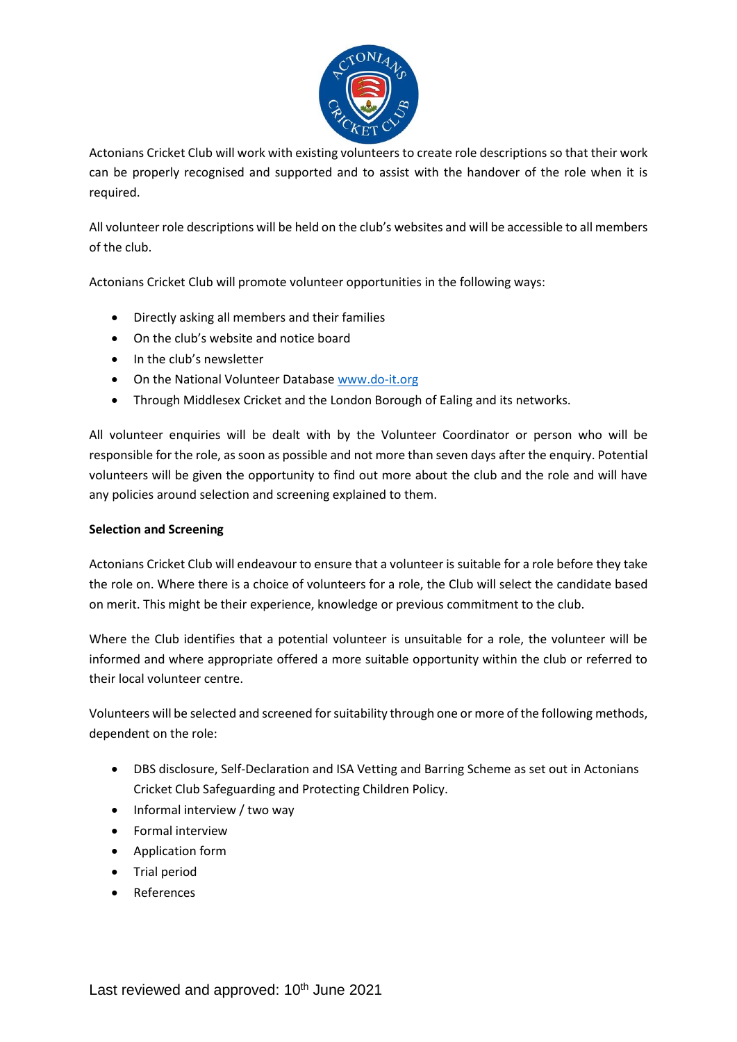

Actonians Cricket Club will work with existing volunteers to create role descriptions so that their work can be properly recognised and supported and to assist with the handover of the role when it is required.

All volunteer role descriptions will be held on the club's websites and will be accessible to all members of the club.

Actonians Cricket Club will promote volunteer opportunities in the following ways:

- Directly asking all members and their families
- On the club's website and notice board
- In the club's newsletter
- On the National Volunteer Database [www.do-it.org](http://www.do-it.org/)
- Through Middlesex Cricket and the London Borough of Ealing and its networks.

All volunteer enquiries will be dealt with by the Volunteer Coordinator or person who will be responsible for the role, as soon as possible and not more than seven days after the enquiry. Potential volunteers will be given the opportunity to find out more about the club and the role and will have any policies around selection and screening explained to them.

## **Selection and Screening**

Actonians Cricket Club will endeavour to ensure that a volunteer is suitable for a role before they take the role on. Where there is a choice of volunteers for a role, the Club will select the candidate based on merit. This might be their experience, knowledge or previous commitment to the club.

Where the Club identifies that a potential volunteer is unsuitable for a role, the volunteer will be informed and where appropriate offered a more suitable opportunity within the club or referred to their local volunteer centre.

Volunteers will be selected and screened for suitability through one or more of the following methods, dependent on the role:

- DBS disclosure, Self-Declaration and ISA Vetting and Barring Scheme as set out in Actonians Cricket Club Safeguarding and Protecting Children Policy.
- Informal interview / two way
- Formal interview
- Application form
- Trial period
- References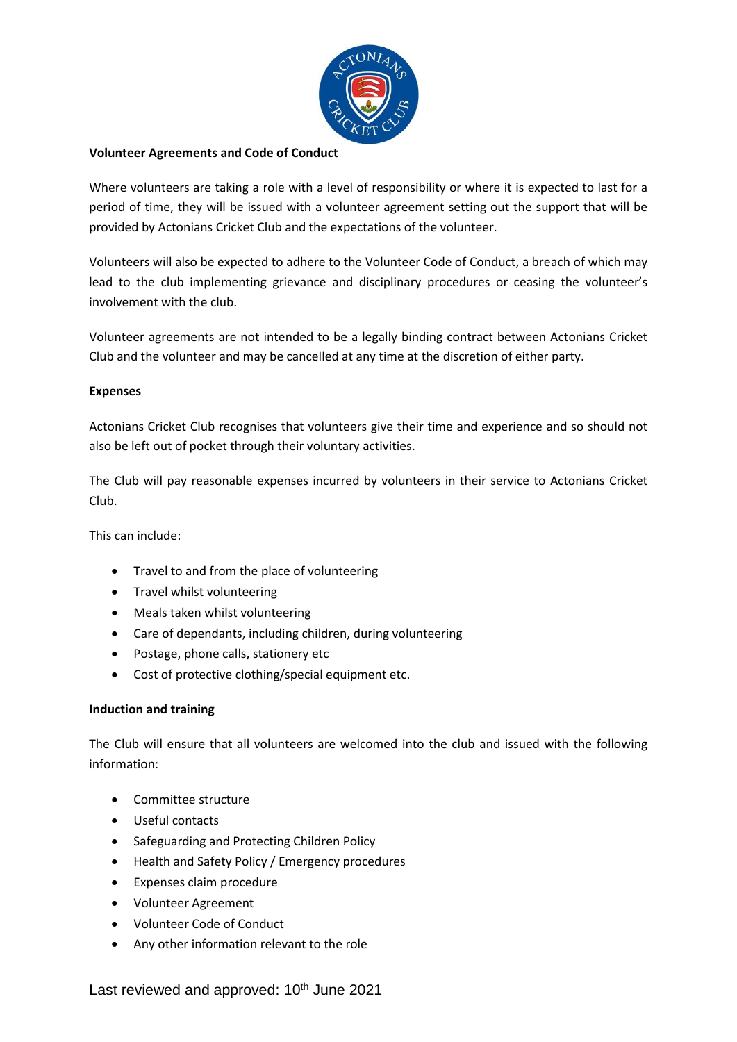

## **Volunteer Agreements and Code of Conduct**

Where volunteers are taking a role with a level of responsibility or where it is expected to last for a period of time, they will be issued with a volunteer agreement setting out the support that will be provided by Actonians Cricket Club and the expectations of the volunteer.

Volunteers will also be expected to adhere to the Volunteer Code of Conduct, a breach of which may lead to the club implementing grievance and disciplinary procedures or ceasing the volunteer's involvement with the club.

Volunteer agreements are not intended to be a legally binding contract between Actonians Cricket Club and the volunteer and may be cancelled at any time at the discretion of either party.

## **Expenses**

Actonians Cricket Club recognises that volunteers give their time and experience and so should not also be left out of pocket through their voluntary activities.

The Club will pay reasonable expenses incurred by volunteers in their service to Actonians Cricket Club.

This can include:

- Travel to and from the place of volunteering
- Travel whilst volunteering
- Meals taken whilst volunteering
- Care of dependants, including children, during volunteering
- Postage, phone calls, stationery etc
- Cost of protective clothing/special equipment etc.

## **Induction and training**

The Club will ensure that all volunteers are welcomed into the club and issued with the following information:

- Committee structure
- Useful contacts
- Safeguarding and Protecting Children Policy
- Health and Safety Policy / Emergency procedures
- Expenses claim procedure
- Volunteer Agreement
- Volunteer Code of Conduct
- Any other information relevant to the role

Last reviewed and approved: 10<sup>th</sup> June 2021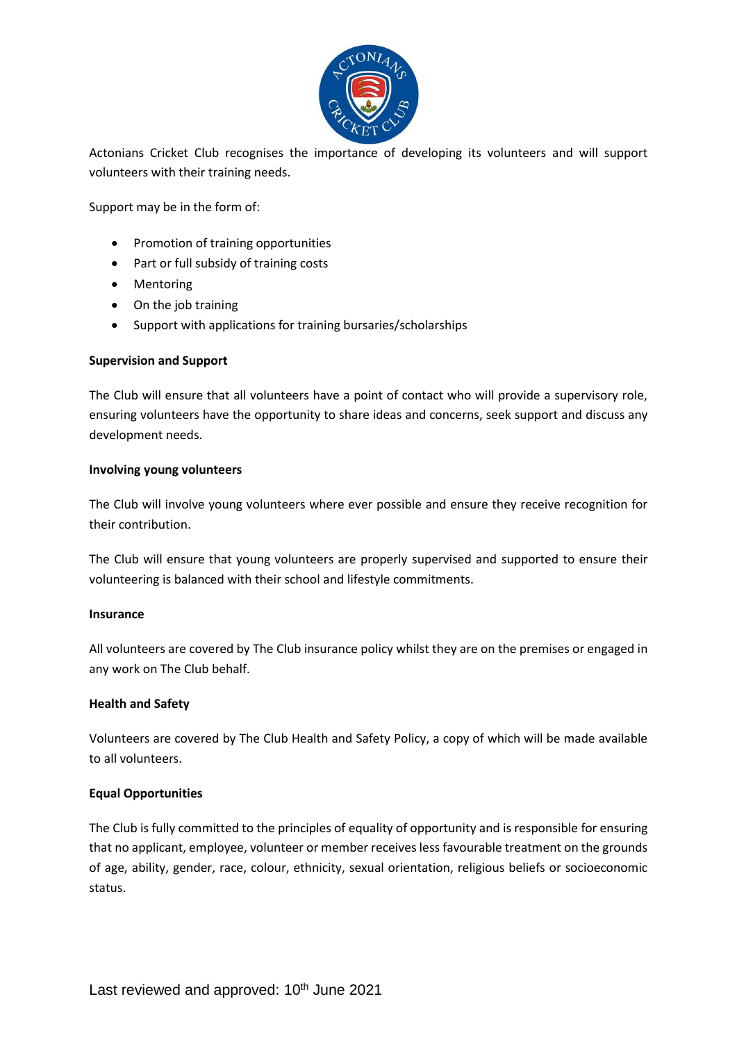

Actonians Cricket Club recognises the importance of developing its volunteers and will support volunteers with their training needs.

Support may be in the form of:

- Promotion of training opportunities
- Part or full subsidy of training costs
- Mentoring
- On the job training
- Support with applications for training bursaries/scholarships

## **Supervision and Support**

The Club will ensure that all volunteers have a point of contact who will provide a supervisory role, ensuring volunteers have the opportunity to share ideas and concerns, seek support and discuss any development needs.

## **Involving young volunteers**

The Club will involve young volunteers where ever possible and ensure they receive recognition for their contribution.

The Club will ensure that young volunteers are properly supervised and supported to ensure their volunteering is balanced with their school and lifestyle commitments.

#### **Insurance**

All volunteers are covered by The Club insurance policy whilst they are on the premises or engaged in any work on The Club behalf.

#### **Health and Safety**

Volunteers are covered by The Club Health and Safety Policy, a copy of which will be made available to all volunteers.

## **Equal Opportunities**

The Club is fully committed to the principles of equality of opportunity and is responsible for ensuring that no applicant, employee, volunteer or member receives less favourable treatment on the grounds of age, ability, gender, race, colour, ethnicity, sexual orientation, religious beliefs or socioeconomic status.